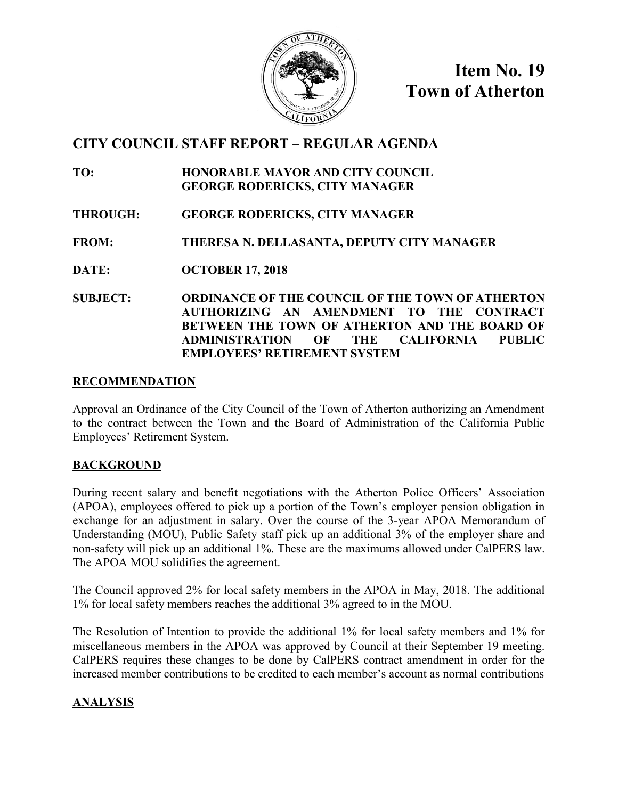

**Item No. 19 Town of Atherton**

# **CITY COUNCIL STAFF REPORT – REGULAR AGENDA**

- **TO: HONORABLE MAYOR AND CITY COUNCIL GEORGE RODERICKS, CITY MANAGER**
- **THROUGH: GEORGE RODERICKS, CITY MANAGER**
- **FROM: THERESA N. DELLASANTA, DEPUTY CITY MANAGER**
- **DATE: OCTOBER 17, 2018**
- **SUBJECT: ORDINANCE OF THE COUNCIL OF THE TOWN OF ATHERTON AUTHORIZING AN AMENDMENT TO THE CONTRACT BETWEEN THE TOWN OF ATHERTON AND THE BOARD OF ADMINISTRATION OF THE CALIFORNIA PUBLIC EMPLOYEES' RETIREMENT SYSTEM**

### **RECOMMENDATION**

Approval an Ordinance of the City Council of the Town of Atherton authorizing an Amendment to the contract between the Town and the Board of Administration of the California Public Employees' Retirement System.

## **BACKGROUND**

During recent salary and benefit negotiations with the Atherton Police Officers' Association (APOA), employees offered to pick up a portion of the Town's employer pension obligation in exchange for an adjustment in salary. Over the course of the 3-year APOA Memorandum of Understanding (MOU), Public Safety staff pick up an additional 3% of the employer share and non-safety will pick up an additional 1%. These are the maximums allowed under CalPERS law. The APOA MOU solidifies the agreement.

The Council approved 2% for local safety members in the APOA in May, 2018. The additional 1% for local safety members reaches the additional 3% agreed to in the MOU.

The Resolution of Intention to provide the additional 1% for local safety members and 1% for miscellaneous members in the APOA was approved by Council at their September 19 meeting. CalPERS requires these changes to be done by CalPERS contract amendment in order for the increased member contributions to be credited to each member's account as normal contributions

# **ANALYSIS**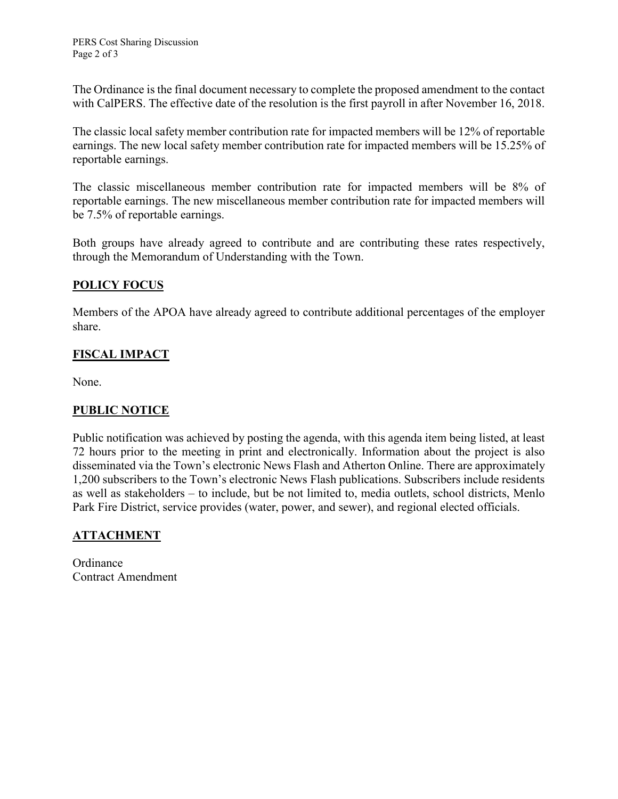The Ordinance is the final document necessary to complete the proposed amendment to the contact with CalPERS. The effective date of the resolution is the first payroll in after November 16, 2018.

The classic local safety member contribution rate for impacted members will be 12% of reportable earnings. The new local safety member contribution rate for impacted members will be 15.25% of reportable earnings.

The classic miscellaneous member contribution rate for impacted members will be 8% of reportable earnings. The new miscellaneous member contribution rate for impacted members will be 7.5% of reportable earnings.

Both groups have already agreed to contribute and are contributing these rates respectively, through the Memorandum of Understanding with the Town.

#### **POLICY FOCUS**

Members of the APOA have already agreed to contribute additional percentages of the employer share.

## **FISCAL IMPACT**

None.

#### **PUBLIC NOTICE**

Public notification was achieved by posting the agenda, with this agenda item being listed, at least 72 hours prior to the meeting in print and electronically. Information about the project is also disseminated via the Town's electronic News Flash and Atherton Online. There are approximately 1,200 subscribers to the Town's electronic News Flash publications. Subscribers include residents as well as stakeholders – to include, but be not limited to, media outlets, school districts, Menlo Park Fire District, service provides (water, power, and sewer), and regional elected officials.

#### **ATTACHMENT**

Ordinance Contract Amendment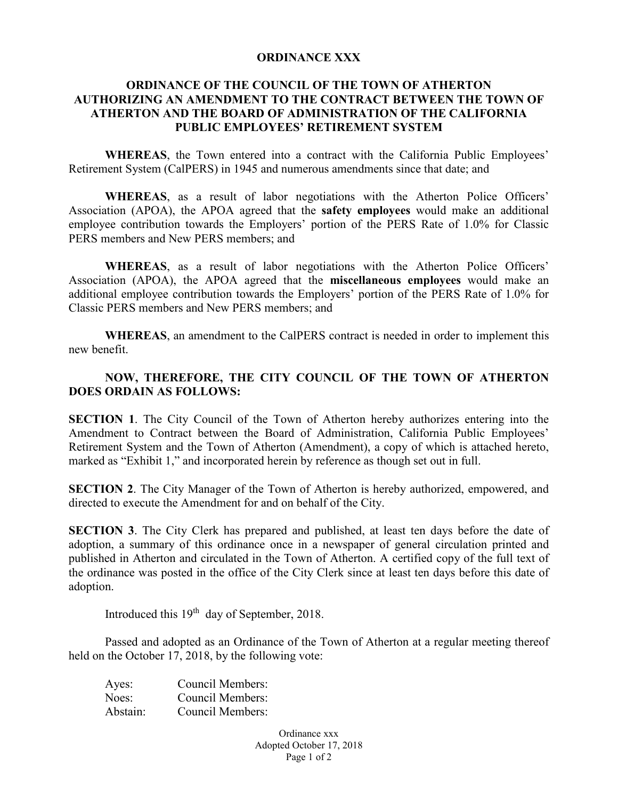#### **ORDINANCE XXX**

#### **ORDINANCE OF THE COUNCIL OF THE TOWN OF ATHERTON AUTHORIZING AN AMENDMENT TO THE CONTRACT BETWEEN THE TOWN OF ATHERTON AND THE BOARD OF ADMINISTRATION OF THE CALIFORNIA PUBLIC EMPLOYEES' RETIREMENT SYSTEM**

**WHEREAS**, the Town entered into a contract with the California Public Employees' Retirement System (CalPERS) in 1945 and numerous amendments since that date; and

**WHEREAS**, as a result of labor negotiations with the Atherton Police Officers' Association (APOA), the APOA agreed that the **safety employees** would make an additional employee contribution towards the Employers' portion of the PERS Rate of 1.0% for Classic PERS members and New PERS members; and

**WHEREAS**, as a result of labor negotiations with the Atherton Police Officers' Association (APOA), the APOA agreed that the **miscellaneous employees** would make an additional employee contribution towards the Employers' portion of the PERS Rate of 1.0% for Classic PERS members and New PERS members; and

**WHEREAS**, an amendment to the CalPERS contract is needed in order to implement this new benefit.

#### **NOW, THEREFORE, THE CITY COUNCIL OF THE TOWN OF ATHERTON DOES ORDAIN AS FOLLOWS:**

**SECTION 1.** The City Council of the Town of Atherton hereby authorizes entering into the Amendment to Contract between the Board of Administration, California Public Employees' Retirement System and the Town of Atherton (Amendment), a copy of which is attached hereto, marked as "Exhibit 1," and incorporated herein by reference as though set out in full.

**SECTION 2**. The City Manager of the Town of Atherton is hereby authorized, empowered, and directed to execute the Amendment for and on behalf of the City.

**SECTION 3**. The City Clerk has prepared and published, at least ten days before the date of adoption, a summary of this ordinance once in a newspaper of general circulation printed and published in Atherton and circulated in the Town of Atherton. A certified copy of the full text of the ordinance was posted in the office of the City Clerk since at least ten days before this date of adoption.

Introduced this 19<sup>th</sup> day of September, 2018.

Passed and adopted as an Ordinance of the Town of Atherton at a regular meeting thereof held on the October 17, 2018, by the following vote:

| Ayes:    | Council Members:        |
|----------|-------------------------|
| Noes:    | <b>Council Members:</b> |
| Abstain: | Council Members:        |

Ordinance xxx Adopted October 17, 2018 Page 1 of 2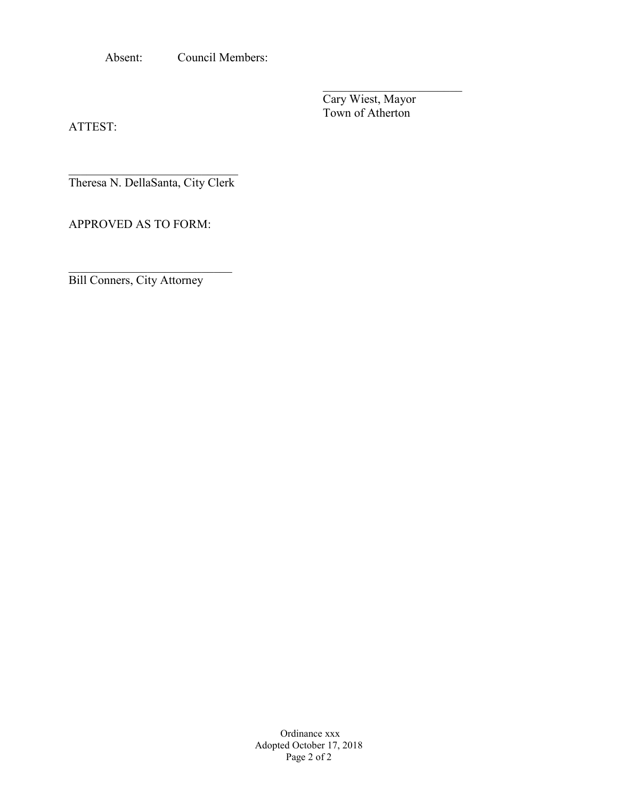Absent: Council Members:

Cary Wiest, Mayor Town of Atherton

 $\overline{\phantom{a}}$ 

ATTEST:

 $\mathcal{L}_\text{max}$  , where  $\mathcal{L}_\text{max}$  and  $\mathcal{L}_\text{max}$ Theresa N. DellaSanta, City Clerk

APPROVED AS TO FORM:

Bill Conners, City Attorney

\_\_\_\_\_\_\_\_\_\_\_\_\_\_\_\_\_\_\_\_\_\_\_\_\_\_\_

Ordinance xxx Adopted October 17, 2018 Page 2 of 2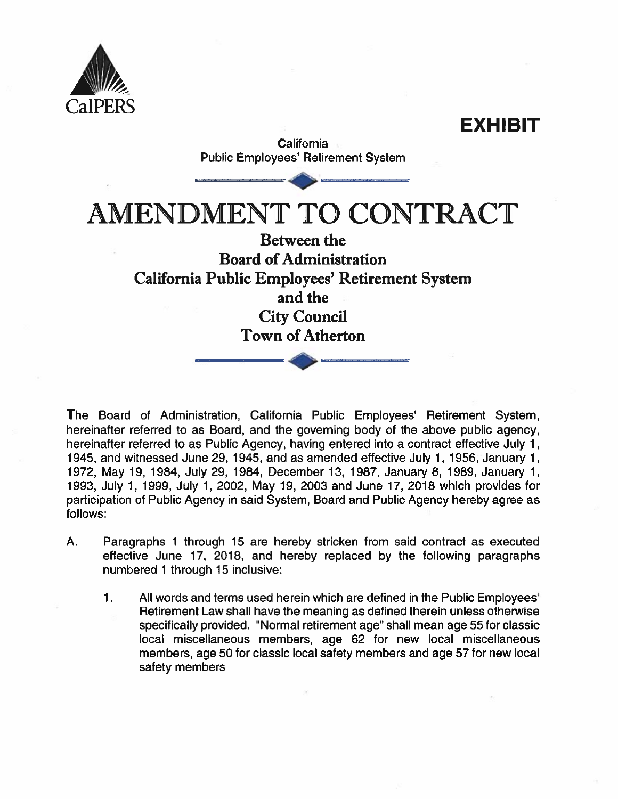

EXHIBIT **California Public Employees' Retirement System AMENDMENT TO CONTRACT Between the Board of Administration** California Public Employees' Retirement System and the **City Council Town of Atherton** 

The Board of Administration, California Public Employees' Retirement System, hereinafter referred to as Board, and the governing body of the above public agency, hereinafter referred to as Public Agency, having entered into a contract effective July 1, 1945, and witnessed June 29, 1945, and as amended effective July 1, 1956, January 1, 1972, May 19, 1984, July 29, 1984, December 13, 1987, January 8, 1989, January 1, 1993, July 1, 1999, July 1, 2002, May 19, 2003 and June 17, 2018 which provides for participation of Public Agency in said System, Board and Public Agency hereby agree as follows:

- $A_{\cdot}$ Paragraphs 1 through 15 are hereby stricken from said contract as executed effective June 17, 2018, and hereby replaced by the following paragraphs numbered 1 through 15 inclusive:
	- $\mathbf 1$ All words and terms used herein which are defined in the Public Employees' Retirement Law shall have the meaning as defined therein unless otherwise specifically provided. "Normal retirement age" shall mean age 55 for classic local miscellaneous members, age 62 for new local miscellaneous members, age 50 for classic local safety members and age 57 for new local safety members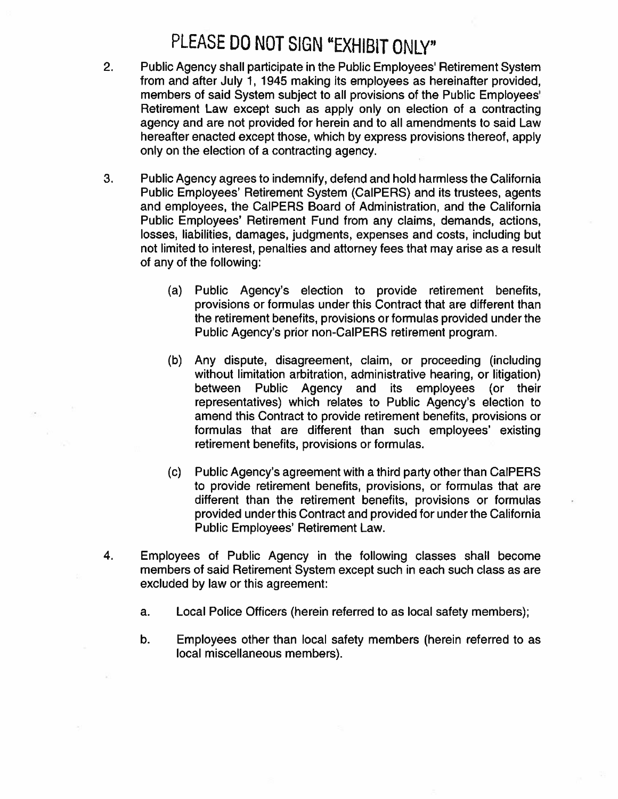# PLEASE DO NOT SIGN "EXHIBIT ONLY"

- $2.$ Public Agency shall participate in the Public Employees' Retirement System from and after July 1, 1945 making its employees as hereinafter provided, members of said System subject to all provisions of the Public Employees' Retirement Law except such as apply only on election of a contracting agency and are not provided for herein and to all amendments to said Law hereafter enacted except those, which by express provisions thereof, apply only on the election of a contracting agency.
- 3. Public Agency agrees to indemnify, defend and hold harmless the California Public Employees' Retirement System (CalPERS) and its trustees, agents and employees, the CalPERS Board of Administration, and the California Public Employees' Retirement Fund from any claims, demands, actions, losses, liabilities, damages, judgments, expenses and costs, including but not limited to interest, penalties and attorney fees that may arise as a result of any of the following:
	- Public Agency's election to provide retirement benefits,  $(a)$ provisions or formulas under this Contract that are different than the retirement benefits, provisions or formulas provided under the Public Agency's prior non-CalPERS retirement program.
	- Any dispute, disagreement, claim, or proceeding (including  $(b)$ without limitation arbitration, administrative hearing, or litigation) between Public Agency and its employees (or their representatives) which relates to Public Agency's election to amend this Contract to provide retirement benefits, provisions or formulas that are different than such employees' existing retirement benefits, provisions or formulas.
	- Public Agency's agreement with a third party other than CalPERS  $(c)$ to provide retirement benefits, provisions, or formulas that are different than the retirement benefits, provisions or formulas provided under this Contract and provided for under the California Public Employees' Retirement Law.
- 4. Employees of Public Agency in the following classes shall become members of said Retirement System except such in each such class as are excluded by law or this agreement:
	- Local Police Officers (herein referred to as local safety members); a.
	- b. Employees other than local safety members (herein referred to as local miscellaneous members).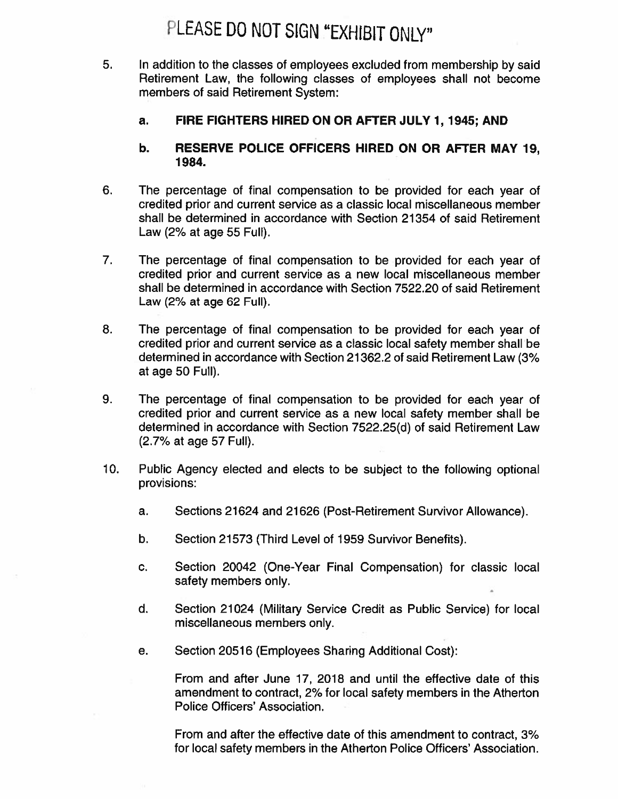# PLEASE DO NOT SIGN "EXHIBIT ONLY"

- 5. In addition to the classes of employees excluded from membership by said Retirement Law, the following classes of employees shall not become members of said Retirement System:
	- FIRE FIGHTERS HIRED ON OR AFTER JULY 1, 1945; AND a.

#### RESERVE POLICE OFFICERS HIRED ON OR AFTER MAY 19. b. 1984.

- 6. The percentage of final compensation to be provided for each year of credited prior and current service as a classic local miscellaneous member shall be determined in accordance with Section 21354 of said Retirement Law (2% at age 55 Full).
- $7.$ The percentage of final compensation to be provided for each year of credited prior and current service as a new local miscellaneous member shall be determined in accordance with Section 7522.20 of said Retirement Law (2% at age 62 Full).
- 8. The percentage of final compensation to be provided for each year of credited prior and current service as a classic local safety member shall be determined in accordance with Section 21362.2 of said Retirement Law (3% at age 50 Full).
- 9. The percentage of final compensation to be provided for each year of credited prior and current service as a new local safety member shall be determined in accordance with Section 7522.25(d) of said Retirement Law (2.7% at age 57 Full).
- $10.$ Public Agency elected and elects to be subject to the following optional provisions:
	- Sections 21624 and 21626 (Post-Retirement Survivor Allowance). a.
	- b. Section 21573 (Third Level of 1959 Survivor Benefits).
	- C. Section 20042 (One-Year Final Compensation) for classic local safety members only.
	- d. Section 21024 (Military Service Credit as Public Service) for local miscellaneous members only.
	- Section 20516 (Employees Sharing Additional Cost): е.

From and after June 17, 2018 and until the effective date of this amendment to contract, 2% for local safety members in the Atherton Police Officers' Association.

From and after the effective date of this amendment to contract, 3% for local safety members in the Atherton Police Officers' Association.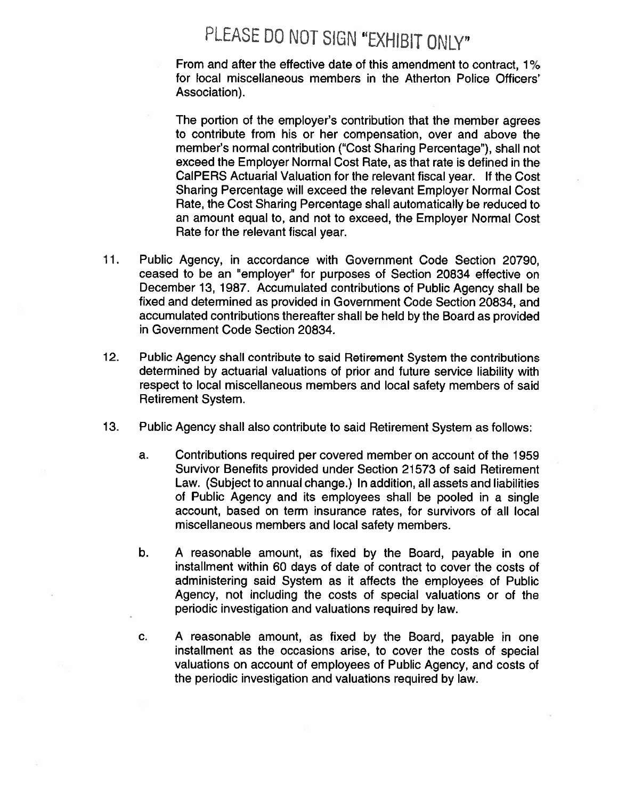# PLEASE DO NOT SIGN "EXHIBIT ONLY"

From and after the effective date of this amendment to contract, 1% for local miscellaneous members in the Atherton Police Officers' Association).

The portion of the employer's contribution that the member agrees to contribute from his or her compensation, over and above the member's normal contribution ("Cost Sharing Percentage"), shall not exceed the Employer Normal Cost Rate, as that rate is defined in the CalPERS Actuarial Valuation for the relevant fiscal year. If the Cost Sharing Percentage will exceed the relevant Employer Normal Cost Rate, the Cost Sharing Percentage shall automatically be reduced to an amount equal to, and not to exceed, the Employer Normal Cost Rate for the relevant fiscal year.

- $11.$ Public Agency, in accordance with Government Code Section 20790. ceased to be an "employer" for purposes of Section 20834 effective on December 13, 1987. Accumulated contributions of Public Agency shall be fixed and determined as provided in Government Code Section 20834, and accumulated contributions thereafter shall be held by the Board as provided in Government Code Section 20834.
- $12.$ Public Agency shall contribute to said Retirement System the contributions determined by actuarial valuations of prior and future service liability with respect to local miscellaneous members and local safety members of said **Retirement System.**
- $13.$ Public Agency shall also contribute to said Retirement System as follows:
	- Contributions required per covered member on account of the 1959 a. Survivor Benefits provided under Section 21573 of said Retirement Law. (Subject to annual change.) In addition, all assets and liabilities of Public Agency and its employees shall be pooled in a single account, based on term insurance rates, for survivors of all local miscellaneous members and local safety members.
	- b. A reasonable amount, as fixed by the Board, payable in one installment within 60 days of date of contract to cover the costs of administering said System as it affects the employees of Public Agency, not including the costs of special valuations or of the periodic investigation and valuations required by law.
	- C. A reasonable amount, as fixed by the Board, payable in one installment as the occasions arise, to cover the costs of special valuations on account of employees of Public Agency, and costs of the periodic investigation and valuations required by law.